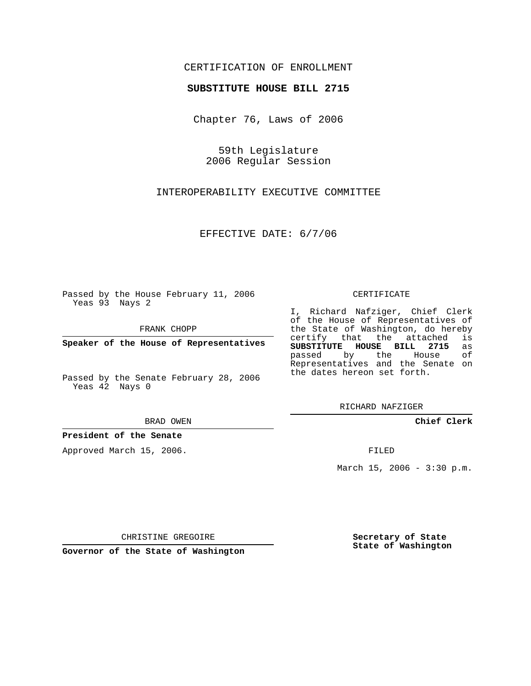## CERTIFICATION OF ENROLLMENT

#### **SUBSTITUTE HOUSE BILL 2715**

Chapter 76, Laws of 2006

59th Legislature 2006 Regular Session

INTEROPERABILITY EXECUTIVE COMMITTEE

EFFECTIVE DATE: 6/7/06

Passed by the House February 11, 2006 Yeas 93 Nays 2

FRANK CHOPP

**Speaker of the House of Representatives**

Passed by the Senate February 28, 2006 Yeas 42 Nays 0

BRAD OWEN

### **President of the Senate**

Approved March 15, 2006.

CERTIFICATE

I, Richard Nafziger, Chief Clerk of the House of Representatives of the State of Washington, do hereby<br>certify that the attached is certify that the attached **SUBSTITUTE HOUSE BILL 2715** as passed by the Representatives and the Senate on the dates hereon set forth.

RICHARD NAFZIGER

**Chief Clerk**

FILED

March 15, 2006 - 3:30 p.m.

CHRISTINE GREGOIRE

**Governor of the State of Washington**

**Secretary of State State of Washington**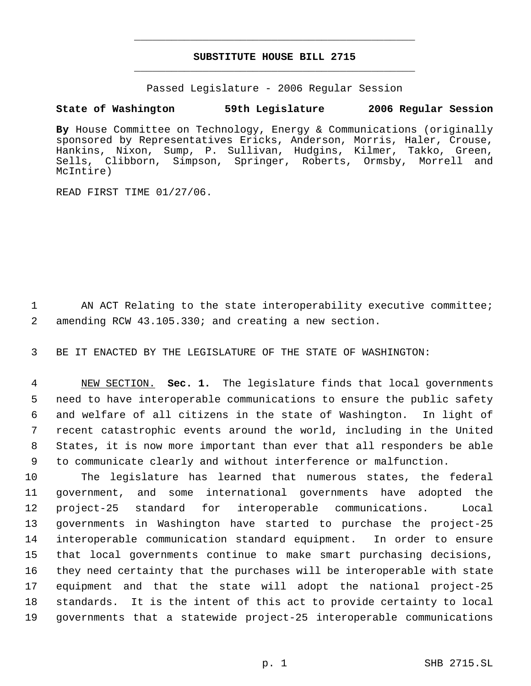# **SUBSTITUTE HOUSE BILL 2715** \_\_\_\_\_\_\_\_\_\_\_\_\_\_\_\_\_\_\_\_\_\_\_\_\_\_\_\_\_\_\_\_\_\_\_\_\_\_\_\_\_\_\_\_\_

\_\_\_\_\_\_\_\_\_\_\_\_\_\_\_\_\_\_\_\_\_\_\_\_\_\_\_\_\_\_\_\_\_\_\_\_\_\_\_\_\_\_\_\_\_

Passed Legislature - 2006 Regular Session

# **State of Washington 59th Legislature 2006 Regular Session**

**By** House Committee on Technology, Energy & Communications (originally sponsored by Representatives Ericks, Anderson, Morris, Haler, Crouse, Hankins, Nixon, Sump, P. Sullivan, Hudgins, Kilmer, Takko, Green, Sells, Clibborn, Simpson, Springer, Roberts, Ormsby, Morrell and McIntire)

READ FIRST TIME 01/27/06.

1 AN ACT Relating to the state interoperability executive committee; 2 amending RCW 43.105.330; and creating a new section.

3 BE IT ENACTED BY THE LEGISLATURE OF THE STATE OF WASHINGTON:

 NEW SECTION. **Sec. 1.** The legislature finds that local governments need to have interoperable communications to ensure the public safety and welfare of all citizens in the state of Washington. In light of recent catastrophic events around the world, including in the United States, it is now more important than ever that all responders be able to communicate clearly and without interference or malfunction.

 The legislature has learned that numerous states, the federal government, and some international governments have adopted the project-25 standard for interoperable communications. Local governments in Washington have started to purchase the project-25 interoperable communication standard equipment. In order to ensure that local governments continue to make smart purchasing decisions, they need certainty that the purchases will be interoperable with state equipment and that the state will adopt the national project-25 standards. It is the intent of this act to provide certainty to local governments that a statewide project-25 interoperable communications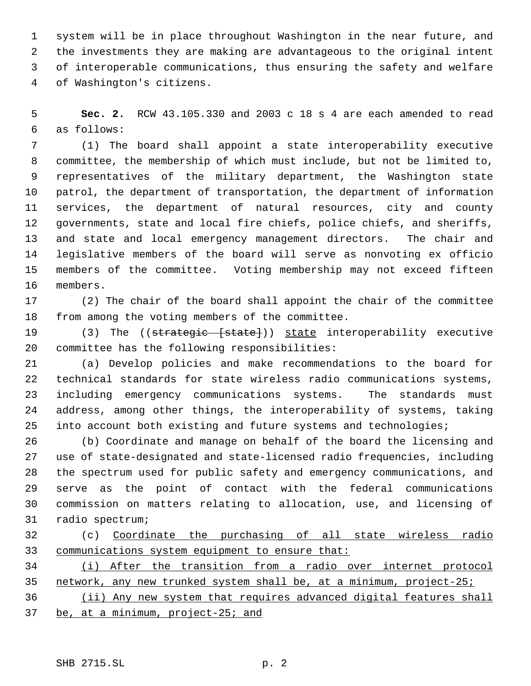system will be in place throughout Washington in the near future, and the investments they are making are advantageous to the original intent of interoperable communications, thus ensuring the safety and welfare of Washington's citizens.

 **Sec. 2.** RCW 43.105.330 and 2003 c 18 s 4 are each amended to read as follows:

 (1) The board shall appoint a state interoperability executive committee, the membership of which must include, but not be limited to, representatives of the military department, the Washington state patrol, the department of transportation, the department of information services, the department of natural resources, city and county governments, state and local fire chiefs, police chiefs, and sheriffs, and state and local emergency management directors. The chair and legislative members of the board will serve as nonvoting ex officio members of the committee. Voting membership may not exceed fifteen members.

 (2) The chair of the board shall appoint the chair of the committee from among the voting members of the committee.

19 (3) The ((strategic [state])) state interoperability executive committee has the following responsibilities:

 (a) Develop policies and make recommendations to the board for technical standards for state wireless radio communications systems, including emergency communications systems. The standards must address, among other things, the interoperability of systems, taking into account both existing and future systems and technologies;

 (b) Coordinate and manage on behalf of the board the licensing and use of state-designated and state-licensed radio frequencies, including the spectrum used for public safety and emergency communications, and serve as the point of contact with the federal communications commission on matters relating to allocation, use, and licensing of radio spectrum;

 (c) Coordinate the purchasing of all state wireless radio communications system equipment to ensure that:

 (i) After the transition from a radio over internet protocol network, any new trunked system shall be, at a minimum, project-25;

 (ii) Any new system that requires advanced digital features shall be, at a minimum, project-25; and